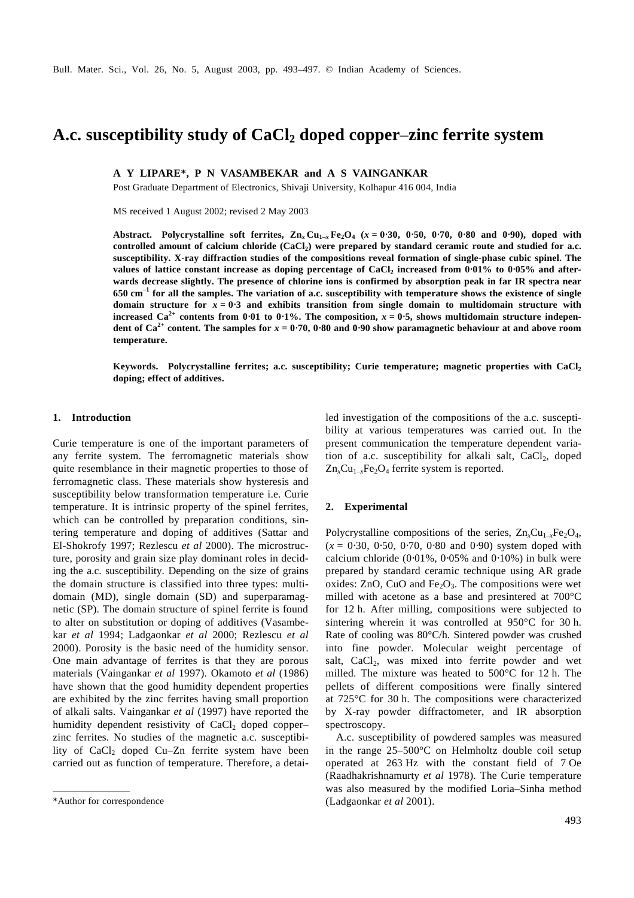# **A.c. susceptibility study of CaCl2 doped copper**–**zinc ferrite system**

# **A Y LIPARE\*, P N VASAMBEKAR and A S VAINGANKAR**

Post Graduate Department of Electronics, Shivaji University, Kolhapur 416 004, India

MS received 1 August 2002; revised 2 May 2003

Abstract. Polycrystalline soft ferrites,  $\text{Zn}_x \text{Cu}_{1-x} \text{Fe}_2\text{O}_4$  ( $x = 0.30$ , 0.50, 0.70, 0.80 and 0.90), doped with **controlled amount of calcium chloride (CaCl<sup>2</sup> ) were prepared by standard ceramic route and studied for a.c. susceptibility. X-ray diffraction studies of the compositions reveal formation of single-phase cubic spinel. The values of lattice constant increase as doping percentage of CaCl<sup>2</sup> increased from 0**⋅**01% to 0**⋅**05% and afterwards decrease slightly. The presence of chlorine ions is confirmed by absorption peak in far IR spectra near 650 cm–1 for all the samples. The variation of a.c. susceptibility with temperature shows the existence of single domain structure for**  $x = 0.3$  **and exhibits transition from single domain to multidomain structure with increased Ca**<sup>2+</sup> contents from 0.01 to 0.1%. The composition,  $x = 0.5$ , shows multidomain structure indepen**dent of Ca2+ content. The samples for** *x* **= 0**⋅**70, 0**⋅**80 and 0**⋅**90 show paramagnetic behaviour at and above room temperature.**

**Keywords. Polycrystalline ferrites; a.c. susceptibility; Curie temperature; magnetic properties with CaCl<sup>2</sup> doping; effect of additives.**

# **1. Introduction**

Curie temperature is one of the important parameters of any ferrite system. The ferromagnetic materials show quite resemblance in their magnetic properties to those of ferromagnetic class. These materials show hysteresis and susceptibility below transformation temperature i.e. Curie temperature. It is intrinsic property of the spinel ferrites, which can be controlled by preparation conditions, sintering temperature and doping of additives (Sattar and El-Shokrofy 1997; Rezlescu *et al* 2000). The microstructure, porosity and grain size play dominant roles in deciding the a.c. susceptibility. Depending on the size of grains the domain structure is classified into three types: multidomain (MD), single domain (SD) and superparamagnetic (SP). The domain structure of spinel ferrite is found to alter on substitution or doping of additives (Vasambekar *et al* 1994; Ladgaonkar *et al* 2000; Rezlescu *et al* 2000). Porosity is the basic need of the humidity sensor. One main advantage of ferrites is that they are porous materials (Vaingankar *et al* 1997). Okamoto *et al* (1986) have shown that the good humidity dependent properties are exhibited by the zinc ferrites having small proportion of alkali salts. Vaingankar *et al* (1997) have reported the humidity dependent resistivity of  $CaCl<sub>2</sub>$  doped copper– zinc ferrites. No studies of the magnetic a.c. susceptibility of  $CaCl<sub>2</sub>$  doped  $Cu-Zn$  ferrite system have been carried out as function of temperature. Therefore, a detailed investigation of the compositions of the a.c. susceptibility at various temperatures was carried out. In the present communication the temperature dependent variation of a.c. susceptibility for alkali salt,  $CaCl<sub>2</sub>$ , doped  $Zn_xCu_{1-x}Fe_2O_4$  ferrite system is reported.

## **2. Experimental**

Polycrystalline compositions of the series,  $Zn_xCu_{1-x}Fe_2O_4$ , (*x* = 0⋅30, 0⋅50, 0⋅70, 0⋅80 and 0⋅90) system doped with calcium chloride (0⋅01%, 0⋅05% and 0⋅10%) in bulk were prepared by standard ceramic technique using AR grade oxides: ZnO, CuO and Fe<sub>2</sub>O<sub>3</sub>. The compositions were wet milled with acetone as a base and presintered at 700°C for 12 h. After milling, compositions were subjected to sintering wherein it was controlled at 950°C for 30 h. Rate of cooling was 80°C/h. Sintered powder was crushed into fine powder. Molecular weight percentage of salt, CaCl<sub>2</sub>, was mixed into ferrite powder and wet milled. The mixture was heated to 500°C for 12 h. The pellets of different compositions were finally sintered at 725°C for 30 h. The compositions were characterized by X-ray powder diffractometer, and IR absorption spectroscopy.

A.c. susceptibility of powdered samples was measured in the range 25–500°C on Helmholtz double coil setup operated at 263 Hz with the constant field of 7 Oe (Raadhakrishnamurty *et al* 1978). The Curie temperature was also measured by the modified Loria–Sinha method \*Author for correspondence (Ladgaonkar *et al* 2001).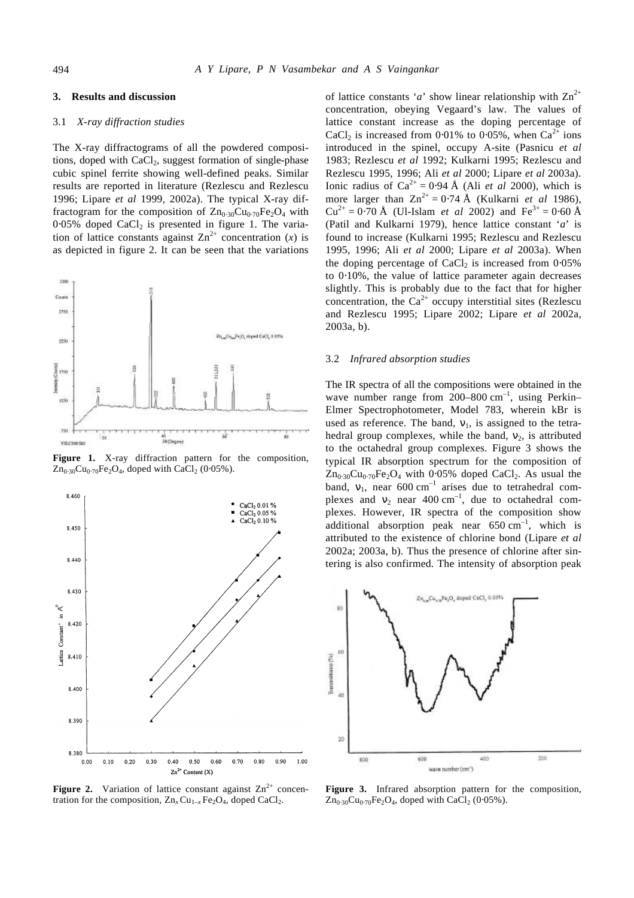# **3. Results and discussion**

# 3.1 *X-ray diffraction studies*

The X-ray diffractograms of all the powdered compositions, doped with  $CaCl<sub>2</sub>$ , suggest formation of single-phase cubic spinel ferrite showing well-defined peaks. Similar results are reported in literature (Rezlescu and Rezlescu 1996; Lipare *et al* 1999, 2002a). The typical X-ray diffractogram for the composition of  $Zn_{0.30}Cu_{0.70}Fe<sub>2</sub>O<sub>4</sub>$  with  $0.05\%$  doped CaCl<sub>2</sub> is presented in figure 1. The variation of lattice constants against  $\text{Zn}^{2+}$  concentration (*x*) is as depicted in figure 2. It can be seen that the variations



**Figure 1.** X-ray diffraction pattern for the composition,  $\text{Zn}_{0.30}\text{Cu}_{0.70}\text{Fe}_{2}\text{O}_{4}$ , doped with CaCl<sub>2</sub> (0⋅05%).



**Figure 2.** Variation of lattice constant against  $\text{Zn}^{2+}$  concentration for the composition,  $\text{Zn}_x \text{Cu}_{1-x} \text{Fe}_2 \text{O}_4$ , doped CaCl<sub>2</sub>.

of lattice constants '*a*' show linear relationship with  $\text{Zn}^{2+}$ concentration, obeying Vegaard's law. The values of lattice constant increase as the doping percentage of CaCl<sub>2</sub> is increased from 0⋅01% to 0⋅05%, when Ca<sup>2+</sup> ions introduced in the spinel, occupy A-site (Pasnicu *et al* 1983; Rezlescu *et al* 1992; Kulkarni 1995; Rezlescu and Rezlescu 1995, 1996; Ali *et al* 2000; Lipare *et al* 2003a). Ionic radius of  $Ca^{2+} = 0.94 \text{ Å}$  (Ali *et al* 2000), which is more larger than  $Zn^{2+} = 0.74 \text{ Å}$  (Kulkarni *et al* 1986),  $Cu^{2+} = 0.70 \text{ Å}$  (Ul-Islam *et al* 2002) and  $Fe^{3+} = 0.60 \text{ Å}$ (Patil and Kulkarni 1979), hence lattice constant '*a*' is found to increase (Kulkarni 1995; Rezlescu and Rezlescu 1995, 1996; Ali *et al* 2000; Lipare *et al* 2003a). When the doping percentage of  $CaCl<sub>2</sub>$  is increased from 0⋅05% to 0⋅10%, the value of lattice parameter again decreases slightly. This is probably due to the fact that for higher concentration, the  $Ca^{2+}$  occupy interstitial sites (Rezlescu and Rezlescu 1995; Lipare 2002; Lipare *et al* 2002a, 2003a, b).

# 3.2 *Infrared absorption studies*

The IR spectra of all the compositions were obtained in the wave number range from  $200-800$   $cm^{-1}$ , using Perkin-Elmer Spectrophotometer, Model 783, wherein kBr is used as reference. The band,  $\mathbf{n}_1$ , is assigned to the tetrahedral group complexes, while the band,  $n_2$ , is attributed to the octahedral group complexes. Figure 3 shows the typical IR absorption spectrum for the composition of  $Zn_{0.30}Cu_{0.70}Fe<sub>2</sub>O<sub>4</sub>$  with 0.05% doped CaCl<sub>2</sub>. As usual the band,  $\mathbf{n}_1$ , near 600 cm<sup>-1</sup> arises due to tetrahedral complexes and  $n_2$  near 400 cm<sup>-1</sup>, due to octahedral complexes. However, IR spectra of the composition show additional absorption peak near  $650 \text{ cm}^{-1}$ , which is attributed to the existence of chlorine bond (Lipare *et al* 2002a; 2003a, b). Thus the presence of chlorine after sintering is also confirmed. The intensity of absorption peak



**Figure 3.** Infrared absorption pattern for the composition,  $\text{Zn}_{0.30}\text{Cu}_{0.70}\text{Fe}_{2}\text{O}_{4}$ , doped with CaCl<sub>2</sub> (0⋅05%).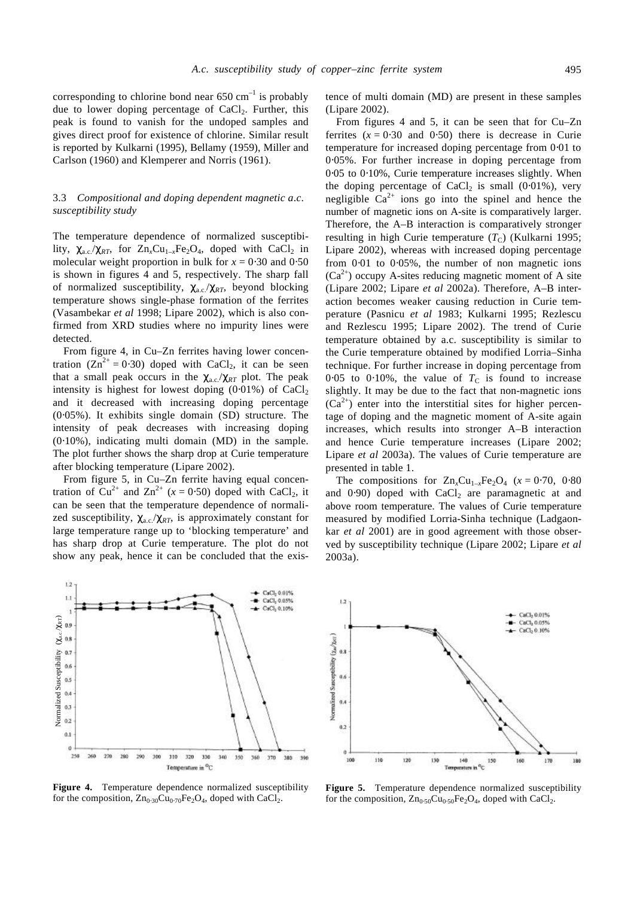corresponding to chlorine bond near  $650 \text{ cm}^{-1}$  is probably due to lower doping percentage of  $CaCl<sub>2</sub>$ . Further, this peak is found to vanish for the undoped samples and gives direct proof for existence of chlorine. Similar result is reported by Kulkarni (1995), Bellamy (1959), Miller and Carlson (1960) and Klemperer and Norris (1961).

# 3.3 *Compositional and doping dependent magnetic a*.*c*. *susceptibility study*

The temperature dependence of normalized susceptibility,  $c_{\text{a.c.}}/c_{RT}$ , for  $Zn_xCu_{1-x}Fe_2O_4$ , doped with CaCl<sub>2</sub> in molecular weight proportion in bulk for  $x = 0.30$  and  $0.50$ is shown in figures 4 and 5, respectively. The sharp fall of normalized susceptibility, *c*a.c./*cRT*, beyond blocking temperature shows single-phase formation of the ferrites (Vasambekar *et al* 1998; Lipare 2002), which is also confirmed from XRD studies where no impurity lines were detected.

From figure 4, in Cu–Zn ferrites having lower concentration  $(Zn^{2+} = 0.30)$  doped with CaCl<sub>2</sub>, it can be seen that a small peak occurs in the  $c_{a,c}/c_{RT}$  plot. The peak intensity is highest for lowest doping (0⋅01%) of CaCl<sub>2</sub> and it decreased with increasing doping percentage (0⋅05%). It exhibits single domain (SD) structure. The intensity of peak decreases with increasing doping (0⋅10%), indicating multi domain (MD) in the sample. The plot further shows the sharp drop at Curie temperature after blocking temperature (Lipare 2002).

From figure 5, in Cu–Zn ferrite having equal concentration of Cu<sup>2+</sup> and Zn<sup>2+</sup> ( $x = 0.50$ ) doped with CaCl<sub>2</sub>, it can be seen that the temperature dependence of normalized susceptibility,  $c_{\text{a.c.}}/c_{\text{RT}}$ , is approximately constant for large temperature range up to 'blocking temperature' and has sharp drop at Curie temperature. The plot do not show any peak, hence it can be concluded that the exis-

 $\bullet$  CsCl<sub>2</sub> 0.01%

CaCl, 0.05%

CaCl<sub>2</sub> 0.10%

۰.



Temperature in <sup>O</sup>C

Normalized Susceptibility (*c*a.c./*c*RT)

Normalized Susceptibility  $(c_{ac}/c_{RT})$ <br>  $\Omega$   $\Omega$   $\Omega$   $\Omega$   $\Omega$   $\Omega$   $\Omega$ 

 $0.1$ 

 $250$ 260  $270$ 390 599 300 310 320 330 340 150 360  $370$ 180 300

 $\overline{12}$ 

 $1.1$ 

tence of multi domain (MD) are present in these samples (Lipare 2002).

From figures 4 and 5, it can be seen that for Cu–Zn ferrites  $(x = 0.30$  and  $(0.50)$  there is decrease in Curie temperature for increased doping percentage from 0⋅01 to 0⋅05%. For further increase in doping percentage from 0⋅05 to 0⋅10%, Curie temperature increases slightly. When the doping percentage of CaCl<sub>2</sub> is small  $(0.01\%)$ , very negligible  $Ca^{2+}$  ions go into the spinel and hence the number of magnetic ions on A-site is comparatively larger. Therefore, the A–B interaction is comparatively stronger resulting in high Curie temperature  $(T_C)$  (Kulkarni 1995; Lipare 2002), whereas with increased doping percentage from 0.01 to 0.05%, the number of non magnetic ions  $(Ca^{2+})$  occupy A-sites reducing magnetic moment of A site (Lipare 2002; Lipare *et al* 2002a). Therefore, A–B interaction becomes weaker causing reduction in Curie temperature (Pasnicu *et al* 1983; Kulkarni 1995; Rezlescu and Rezlescu 1995; Lipare 2002). The trend of Curie temperature obtained by a.c. susceptibility is similar to the Curie temperature obtained by modified Lorria–Sinha technique. For further increase in doping percentage from 0⋅05 to 0⋅10%, the value of  $T_c$  is found to increase slightly. It may be due to the fact that non-magnetic ions  $(Ca^{2+})$  enter into the interstitial sites for higher percentage of doping and the magnetic moment of A-site again increases, which results into stronger A–B interaction and hence Curie temperature increases (Lipare 2002; Lipare *et al* 2003a). The values of Curie temperature are presented in table 1.

The compositions for  $Zn_xCu_{1-x}Fe_2O_4$  ( $x = 0.70$ , 0⋅80 and  $0.90$ ) doped with CaCl<sub>2</sub> are paramagnetic at and above room temperature. The values of Curie temperature measured by modified Lorria-Sinha technique (Ladgaonkar *et al* 2001) are in good agreement with those observed by susceptibility technique (Lipare 2002; Lipare *et al* 2003a).



**Figure 5.** Temperature dependence normalized susceptibility for the composition,  $Zn_{0.50}Cu_{0.50}Fe<sub>2</sub>O<sub>4</sub>$ , doped with CaCl<sub>2</sub>.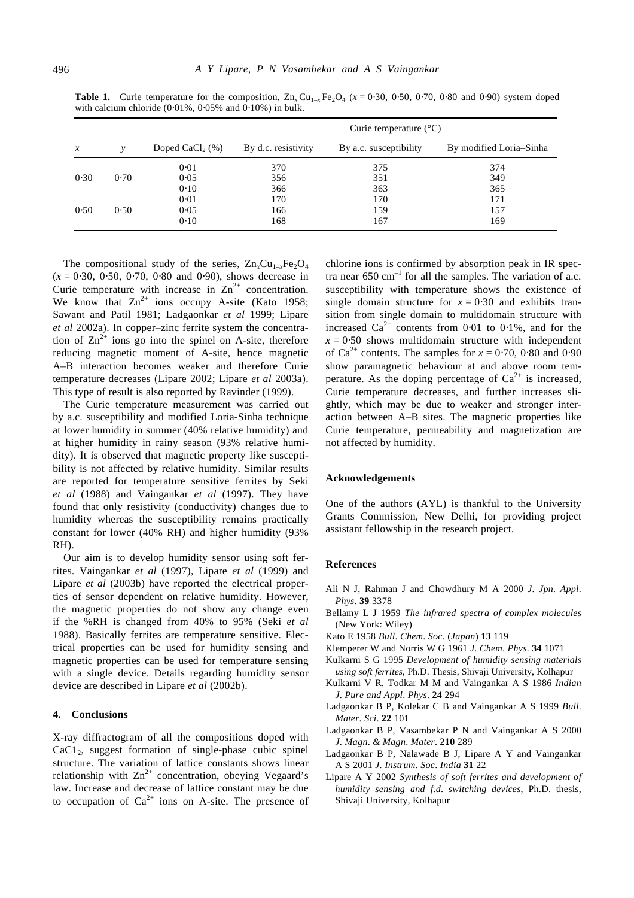| $\mathcal{X}$ | ν    | Doped CaCl <sub>2</sub> $(\%)$ | Curie temperature $(^{\circ}C)$ |                        |                         |
|---------------|------|--------------------------------|---------------------------------|------------------------|-------------------------|
|               |      |                                | By d.c. resistivity             | By a.c. susceptibility | By modified Loria–Sinha |
|               |      | 0.01                           | 370                             | 375                    | 374                     |
| 0.30          | 0.70 | 0.05                           | 356                             | 351                    | 349                     |
|               |      | 0.10                           | 366                             | 363                    | 365                     |
|               |      | 0.01                           | 170                             | 170                    | 171                     |
| 0.50          | 0.50 | 0.05                           | 166                             | 159                    | 157                     |
|               |      | 0.10                           | 168                             | 167                    | 169                     |

**Table 1.** Curie temperature for the composition,  $Zn_xCu_{1-x}Fe_2O_4$  ( $x = 0.30, 0.50, 0.70, 0.80$  and 0.90) system doped with calcium chloride (0⋅01%, 0⋅05% and 0⋅10%) in bulk.

The compositional study of the series,  $Zn_xCu_{1-x}Fe_2O_4$ (*x* = 0⋅30, 0⋅50, 0⋅70, 0⋅80 and 0⋅90), shows decrease in Curie temperature with increase in  $Zn^{2+}$  concentration. We know that  $Zn^{2+}$  ions occupy A-site (Kato 1958; Sawant and Patil 1981; Ladgaonkar *et al* 1999; Lipare *et al* 2002a). In copper–zinc ferrite system the concentration of  $\text{Zn}^{2+}$  ions go into the spinel on A-site, therefore reducing magnetic moment of A-site, hence magnetic A–B interaction becomes weaker and therefore Curie temperature decreases (Lipare 2002; Lipare *et al* 2003a). This type of result is also reported by Ravinder (1999).

The Curie temperature measurement was carried out by a.c. susceptibility and modified Loria-Sinha technique at lower humidity in summer (40% relative humidity) and at higher humidity in rainy season (93% relative humidity). It is observed that magnetic property like susceptibility is not affected by relative humidity. Similar results are reported for temperature sensitive ferrites by Seki *et al* (1988) and Vaingankar *et al* (1997). They have found that only resistivity (conductivity) changes due to humidity whereas the susceptibility remains practically constant for lower (40% RH) and higher humidity (93% RH).

Our aim is to develop humidity sensor using soft ferrites. Vaingankar *et al* (1997), Lipare *et al* (1999) and Lipare *et al* (2003b) have reported the electrical properties of sensor dependent on relative humidity. However, the magnetic properties do not show any change even if the %RH is changed from 40% to 95% (Seki *et al* 1988). Basically ferrites are temperature sensitive. Electrical properties can be used for humidity sensing and magnetic properties can be used for temperature sensing with a single device. Details regarding humidity sensor device are described in Lipare *et al* (2002b).

#### **4. Conclusions**

X-ray diffractogram of all the compositions doped with  $CaC1<sub>2</sub>$ , suggest formation of single-phase cubic spinel structure. The variation of lattice constants shows linear relationship with  $\text{Zn}^{2+}$  concentration, obeying Vegaard's law. Increase and decrease of lattice constant may be due to occupation of  $Ca^{2+}$  ions on A-site. The presence of chlorine ions is confirmed by absorption peak in IR spectra near  $650 \text{ cm}^{-1}$  for all the samples. The variation of a.c. susceptibility with temperature shows the existence of single domain structure for  $x = 0.30$  and exhibits transition from single domain to multidomain structure with increased  $Ca^{2+}$  contents from 0⋅01 to 0⋅1%, and for the  $x = 0.50$  shows multidomain structure with independent of Ca<sup>2+</sup> contents. The samples for  $x = 0.70, 0.80$  and 0.90 show paramagnetic behaviour at and above room temperature. As the doping percentage of  $Ca^{2+}$  is increased, Curie temperature decreases, and further increases slightly, which may be due to weaker and stronger interaction between A–B sites. The magnetic properties like Curie temperature, permeability and magnetization are not affected by humidity.

#### **Acknowledgements**

One of the authors (AYL) is thankful to the University Grants Commission, New Delhi, for providing project assistant fellowship in the research project.

### **References**

- Ali N J, Rahman J and Chowdhury M A 2000 *J*. *Jpn*. *Appl*. *Phys*. **39** 3378
- Bellamy L J 1959 *The infrared spectra of complex molecules* (New York: Wiley)
- Kato E 1958 *Bull*. *Chem*. *Soc*. (*Japan*) **13** 119
- Klemperer W and Norris W G 1961 *J*. *Chem*. *Phys*. **34** 1071
- Kulkarni S G 1995 *Development of humidity sensing materials using soft ferrites*, Ph.D. Thesis, Shivaji University, Kolhapur
- Kulkarni V R, Todkar M M and Vaingankar A S 1986 *Indian J*. *Pure and Appl*. *Phys*. **24** 294
- Ladgaonkar B P, Kolekar C B and Vaingankar A S 1999 *Bull*. *Mater*. *Sci*. **22** 101
- Ladgaonkar B P, Vasambekar P N and Vaingankar A S 2000 *J*. *Magn*. *& Magn*. *Mater*. **210** 289
- Ladgaonkar B P, Nalawade B J, Lipare A Y and Vaingankar A S 2001 *J*. *Instrum*. *Soc*. *India* **31** 22
- Lipare A Y 2002 *Synthesis of soft ferrites and development of humidity sensing and f*.*d*. *switching devices*, Ph.D. thesis, Shivaji University, Kolhapur